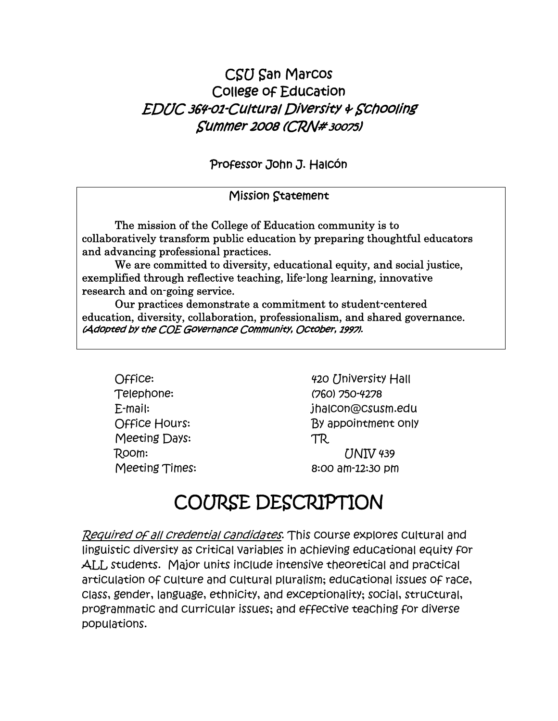# CSU San Marcos College of Education EDUC 364-01-Cultural Diversity & Schooling Summer 2008 (CRN# <sup>30075</sup>)

Professor John J. Halcón

#### Mission Statement

The mission of the College of Education community is to collaboratively transform public education by preparing thoughtful educators and advancing professional practices.

We are committed to diversity, educational equity, and social justice, exemplified through reflective teaching, life-long learning, innovative research and on-going service.

Our practices demonstrate a commitment to student-centered education, diversity, collaboration, professionalism, and shared governance. (Adopted by the COE Governance Community, October, 1997).

Telephone: (760) 750-4278 Meeting Days: TR

Office: 420 University Hall E-mail: jhalcon@csusm.edu Office Hours: By appointment only Room: UNIV 439 Meeting Times: 8:00 am-12:30 pm

# COURSE DESCRIPTION

Required of all credential candidates. This course explores cultural and linguistic diversity as critical variables in achieving educational equity for ALL students. Major units include intensive theoretical and practical articulation of culture and cultural pluralism; educational issues of race, class, gender, language, ethnicity, and exceptionality; social, structural, programmatic and curricular issues; and effective teaching for diverse populations.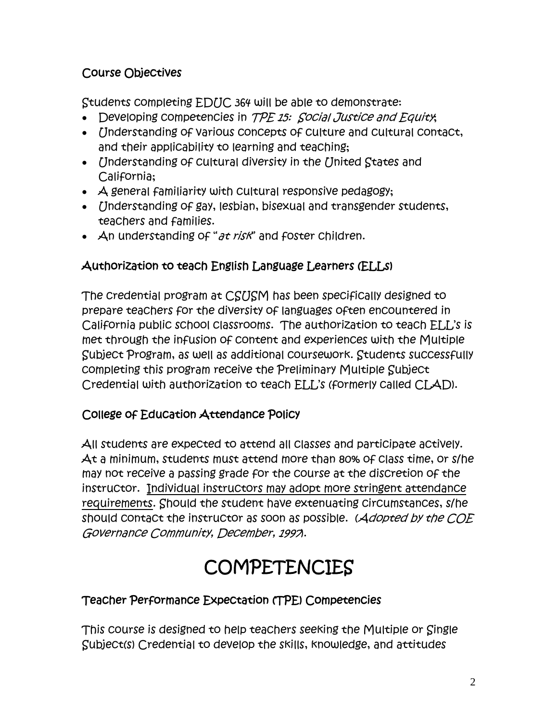## Course Objectives

Students completing EDUC 364 will be able to demonstrate:

- Developing competencies in TPE 15: Social Justice and Equity;
- *[Inderstanding of various concepts of culture and cultural contact,* and their applicability to learning and teaching;
- Understanding of cultural diversity in the United States and California;
- A general familiarity with cultural responsive pedagogy;
- *Inderstanding of gay, lesbian, bisexual and transgender students,* teachers and families.
- An understanding of "*at risk*" and foster children.

## Authorization to teach English Language Learners (ELLs)

The credential program at CSUSM has been specifically designed to prepare teachers for the diversity of languages often encountered in California public school classrooms. The authorization to teach ELL's is met through the infusion of content and experiences with the Multiple Subject Program, as well as additional coursework. Students successfully completing this program receive the Preliminary Multiple Subject Credential with authorization to teach ELL's (formerly called CLAD).

## College of Education Attendance Policy

All students are expected to attend all classes and participate actively. At a minimum, students must attend more than 80% of class time, or s/he may not receive a passing grade for the course at the discretion of the instructor. Individual instructors may adopt more stringent attendance requirements. Should the student have extenuating circumstances, s/he should contact the instructor as soon as possible. (Adopted by the COE Governance Community, December, 1997).

# **COMPETENCIES**

## Teacher Performance Expectation (TPE) Competencies

This course is designed to help teachers seeking the Multiple or Single Subject(s) Credential to develop the skills, knowledge, and attitudes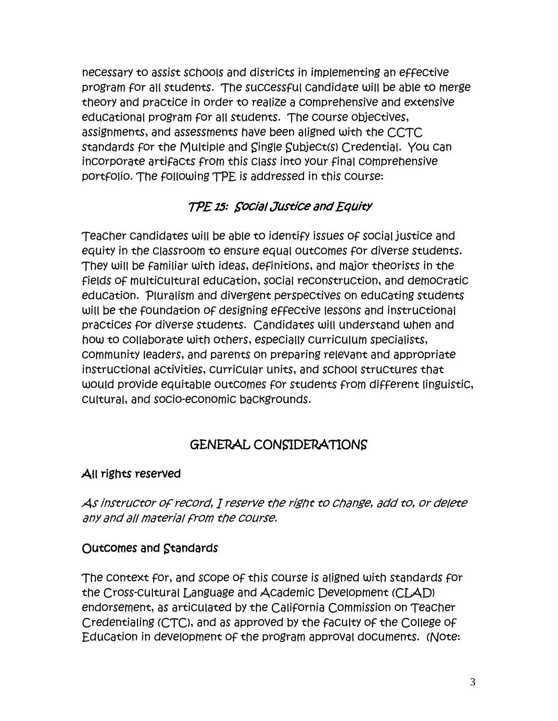necessary to assist schools and districts in implementing an effective program for all students. The successful candidate will be able to merge theory and practice in order to realize a comprehensive and extensive educational program for all students. The course objectives, assignments, and assessments have been aligned with the CCTC standards for the Multiple and Single Subject(s) Credential. You can incorporate artifacts from this class into your final comprehensive portfolio. The following TPE is addressed in this course:

# TPE 15: Social Justice and Equity

Teacher candidates will be able to identify issues of social justice and equity in the classroom to ensure equal outcomes for diverse students. They will be familiar with ideas, definitions, and major theorists in the fields of multicultural education, social reconstruction, and democratic education. Pluralism and divergent perspectives on educating students will be the foundation of designing effective lessons and instructional practices for diverse students. Candidates will understand when and how to collaborate with others, especially curriculum specialists, community leaders, and parents on preparing relevant and appropriate instructional activities, curricular units, and school structures that would provide equitable outcomes for students from different linguistic, cultural, and socio-economic backgrounds.

# GENERAL CONSIDERATIONS

## All rights reserved

As instructor of record, I reserve the right to change, add to, or delete any and all material from the course.

## Outcomes and Standards

The context for, and scope of this course is aligned with standards for the Cross-cultural Language and Academic Development (CLAD) endorsement, as articulated by the California Commission on Teacher Credentialing (CTC), and as approved by the faculty of the College of Education in development of the program approval documents. (Note: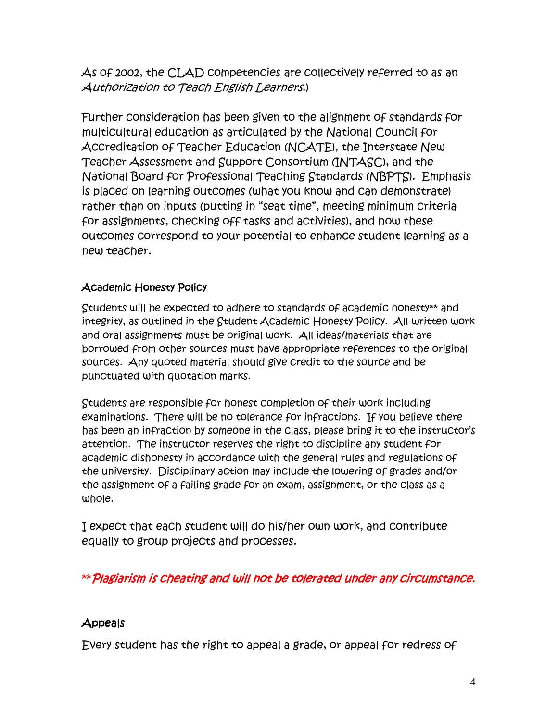As of 2002, the CLAD competencies are collectively referred to as an Authorization to Teach English Learners.)

Further consideration has been given to the alignment of standards for multicultural education as articulated by the National Council for Accreditation of Teacher Education (NCATE), the Interstate New Teacher Assessment and Support Consortium (INTASC), and the National Board for Professional Teaching Standards (NBPTS). Emphasis is placed on learning outcomes (what you know and can demonstrate) rather than on inputs (putting in "seat time", meeting minimum criteria for assignments, checking off tasks and activities), and how these outcomes correspond to your potential to enhance student learning as a new teacher.

#### Academic Honesty Policy

Students will be expected to adhere to standards of academic honesty\*\* and integrity, as outlined in the Student Academic Honesty Policy. All written work and oral assignments must be original work. All ideas/materials that are borrowed from other sources must have appropriate references to the original sources. Any quoted material should give credit to the source and be punctuated with quotation marks.

Students are responsible for honest completion of their work including examinations. There will be no tolerance for infractions. If you believe there has been an infraction by someone in the class, please bring it to the instructor's attention. The instructor reserves the right to discipline any student for academic dishonesty in accordance with the general rules and regulations of the university. Disciplinary action may include the lowering of grades and/or the assignment of a failing grade for an exam, assignment, or the class as a whole.

I expect that each student will do his/her own work, and contribute equally to group projects and processes.

\*\*Plagiarism is cheating and will not be tolerated under any circumstance.

## Appeals

Every student has the right to appeal a grade, or appeal for redress of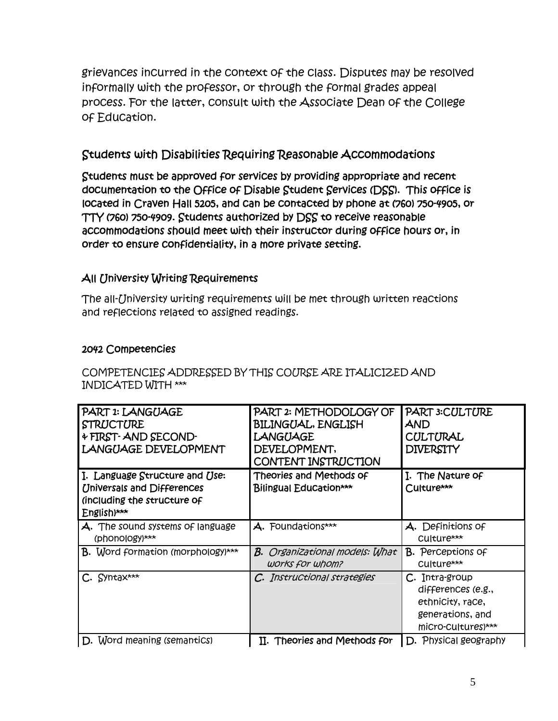grievances incurred in the context of the class. Disputes may be resolved informally with the professor, or through the formal grades appeal process. For the latter, consult with the Associate Dean of the College of Education.

## Students with Disabilities Requiring Reasonable Accommodations

Students must be approved for services by providing appropriate and recent documentation to the Office of Disable Student Services (DSS). This office is located in Craven Hall 5205, and can be contacted by phone at (760) 750-4905, or TTY (760) 750-4909. Students authorized by DSS to receive reasonable accommodations should meet with their instructor during office hours or, in order to ensure confidentiality, in a more private setting.

#### All University Writing Requirements

The all-University writing requirements will be met through written reactions and reflections related to assigned readings.

#### 2042 Competencies

COMPETENCIES ADDRESSED BY THIS COURSE ARE ITALICIZED AND INDICATED WITH \*\*\*

| PART 1: LANGUAGE<br><b>STRUCTURE</b><br>+ FIRST-AND SECOND-<br><b>LANGUAGE DEVELOPMENT</b>                        | PART 2: METHODOLOGY OF<br><b>BILINGUAL, ENGLISH</b><br>LANGUAGE<br>DEVELOPMENT,<br>CONTENT INSTRUCTION | <b>PART 3: CULTURE</b><br>AND<br>CULTURAL<br><b>DIVERSITY</b>                                      |
|-------------------------------------------------------------------------------------------------------------------|--------------------------------------------------------------------------------------------------------|----------------------------------------------------------------------------------------------------|
| I. Language Structure and Use:<br><b>Universals and Differences</b><br>(including the structure of<br>English)*** | Theories and Methods of<br>Bilingual Education***                                                      | I. The Nature of<br>Culture***                                                                     |
| A. The sound systems of language<br>(phonology)***                                                                | A. Foundations***                                                                                      | A. Definitions of<br>Culture***                                                                    |
| <b>B.</b> Word formation (morphology)***                                                                          | <b>B.</b> Organizational models: What<br>works for whom?                                               | <b>B.</b> Perceptions of<br>Culture***                                                             |
| $C.$ Syntax***                                                                                                    | C. Instructional strategies                                                                            | C. Intra-group<br>differences (e.g.,<br>ethnicity, race,<br>generations, and<br>micro-cultures)*** |
| D. Word meaning (semantics)                                                                                       | II. Theories and Methods for                                                                           | D. Physical geography                                                                              |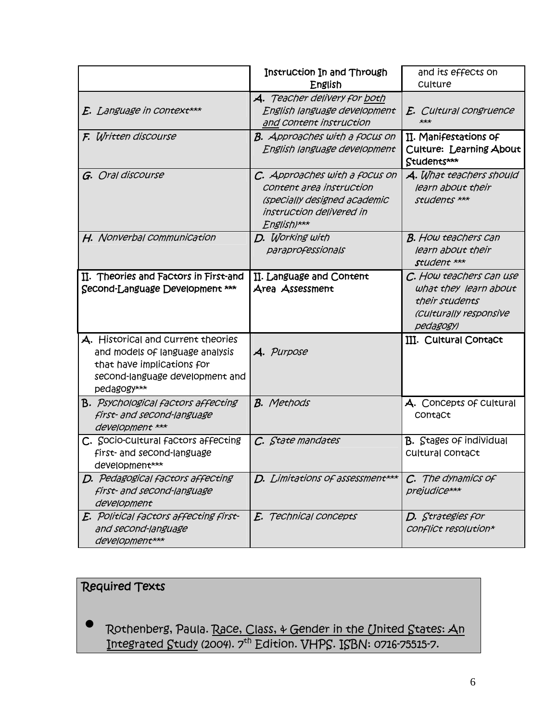|                                                                                                                                                       | Instruction In and Through<br>English                                                                                                | and its effects on<br>Culture                                                                             |
|-------------------------------------------------------------------------------------------------------------------------------------------------------|--------------------------------------------------------------------------------------------------------------------------------------|-----------------------------------------------------------------------------------------------------------|
| E. Language in context***                                                                                                                             | A. Teacher delivery for both<br>English language development<br>and Content instruction                                              | E. Cultural congruence<br>$***$                                                                           |
| F. Written discourse                                                                                                                                  | <b>B.</b> Approaches with a focus on<br>English language development                                                                 | II. Manifestations of<br>Culture: Learning About<br>Students***                                           |
| G. Oral discourse                                                                                                                                     | C. Approaches with a focus on<br>Content area instruction<br>(specially designed academic<br>instruction delivered in<br>English)*** | A. What teachers should<br>learn about their<br>students ***                                              |
| H. Nonverbal communication                                                                                                                            | D. Working with<br>paraprofessionals                                                                                                 | <b>B.</b> How teachers can<br>learn about their<br>student ***                                            |
| II. Theories and Factors in First-and<br>Second-Language Development ***                                                                              | II. Language and Content<br>Area Assessment                                                                                          | C. How teachers can use<br>what they learn about<br>their students<br>(Culturally responsive<br>pedagogy) |
| A. Historical and current theories<br>and models of language analysis<br>that have implications for<br>second-language development and<br>pedagogy*** | A. Purpose                                                                                                                           | III. Cultural Contact                                                                                     |
| <b>B.</b> Psychological factors affecting<br>first- and second-language<br>development ***                                                            | <b>B.</b> Methods                                                                                                                    | A. Concepts of cultural<br>ContaCt                                                                        |
| C. Socio-cultural factors affecting<br>first- and second-language<br>development***                                                                   | C. State mandates                                                                                                                    | <b>B.</b> Stages of individual<br>Cultural ContaCt                                                        |
| D. Pedagogical factors affecting<br>first- and second-language<br>development                                                                         | D. Limitations of assessment***                                                                                                      | C. The dynamics of<br>prejudice***                                                                        |
| E. Political factors affecting first-<br>and second-language<br>development***                                                                        | E. Technical concepts                                                                                                                | D. Strategies for<br>Conflict resolution*                                                                 |

# Required Texts

• Rothenberg, Paula. Race, Class, & Gender in the United States: An In<del>tegrated Study</del> (2004). 7<sup>th</sup> Edition. VHPS. ISBN: 0716-75515-7.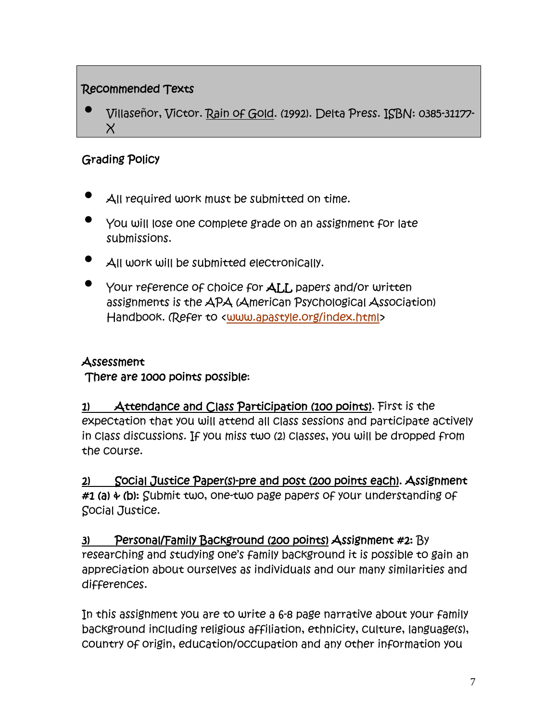## Recommended Texts

• Villaseñor, Victor. Rain of Gold. (1992). Delta Press. ISBN: 0385-31177-  $\chi$ 

## Grading Policy

- All required work must be submitted on time.
- You will lose one complete grade on an assignment for late submissions.
- All work will be submitted electronically.
- Your reference of choice for ALL papers and/or written assignments is the APA (American Psychological Association) Handbook. (Refer to <www.apastyle.org/index.html>

## Assessment

There are 1000 points possible:

1) Attendance and Class Participation (100 points). First is the expectation that you will attend all class sessions and participate actively in class discussions. If you miss two (2) classes, you will be dropped from the course.

2) Social Justice Paper(s)-pre and post (200 points each). Assignment #1 (a)  $\div$  (b): Submit two, one-two page papers of your understanding of Social Justice.

## 3) Personal/Family Background (200 points) Assignment #2: By

researching and studying one's family background it is possible to gain an appreciation about ourselves as individuals and our many similarities and differences.

In this assignment you are to write a 6-8 page narrative about your family background including religious affiliation, ethnicity, culture, language(s), country of origin, education/occupation and any other information you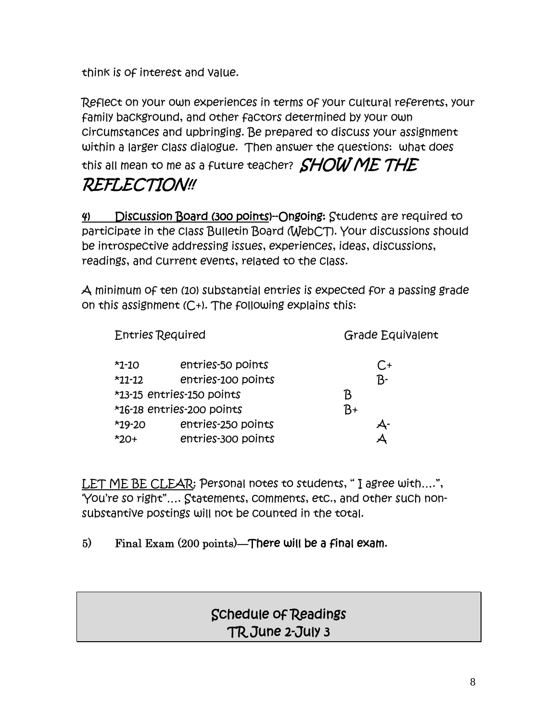think is of interest and value.

Reflect on your own experiences in terms of your cultural referents, your family background, and other factors determined by your own circumstances and upbringing. Be prepared to discuss your assignment within a larger class dialogue. Then answer the questions: what does this all mean to me as a future teacher?  $\mathit{SHOW}\mathit{ME}$   $\mathcal{THE}$ REFLECTION!!

4) Discussion Board (300 points)--Ongoing: Students are required to participate in the class Bulletin Board (WebCT). Your discussions should be introspective addressing issues, experiences, ideas, discussions, readings, and current events, related to the class.

A minimum of ten (10) substantial entries is expected for a passing grade on this assignment  $(C+1)$ . The following explains this:

| <b>Entries Required</b>   |                           | Grade Equivalent |  |
|---------------------------|---------------------------|------------------|--|
| $*1-10$                   | entries-50 points         | $C_{\pm}$        |  |
| $*11-12$                  | entries-100 points        | $B-$             |  |
| *13-15 entries-150 points |                           | B                |  |
|                           | *16-18 entries-200 points | B+               |  |
| $*19-20$                  | entries-250 points        | Ą-               |  |
| $*20+$                    | entries-300 points        |                  |  |

LET ME BE CLEAR: Personal notes to students, " I agree with….", 'You're so right"…. Statements, comments, etc., and other such nonsubstantive postings will not be counted in the total.

## 5) Final Exam (200 points)—There will be a final exam.

# Schedule of Readings TR June 2-July 3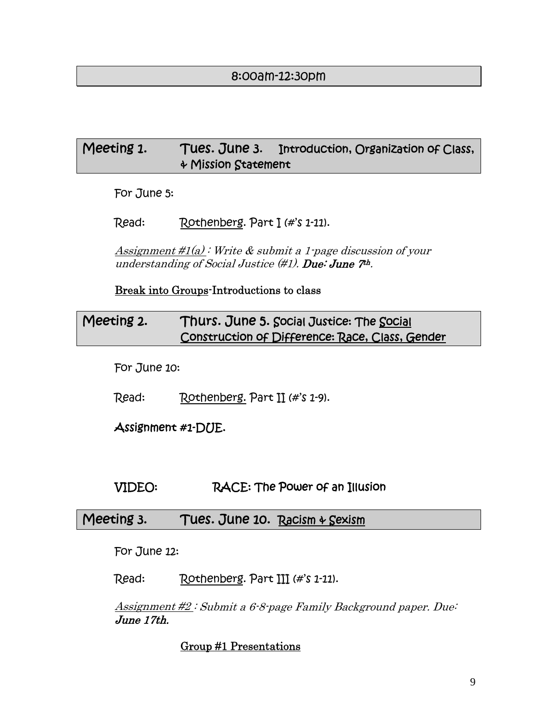#### 8:00am-12:30pm

## Meeting 1. Tues. June 3. Introduction, Organization of Class, & Mission Statement

For June 5:

Read: Rothenberg. Part I (#'s 1-11).

Assignment  $\#1(a)$ : Write & submit a 1-page discussion of your understanding of Social Justice  $(\#1)$ . Due: June  $7<sup>th</sup>$ .

Break into Groups-Introductions to class

## Meeting 2. Thurs. June 5. Social Justice: The Social Construction of Difference: Race, Class, Gender

For June 10:

Read: Rothenberg. Part II (#'s 1-9).

Assignment #1-DUE.

#### VIDEO: RACE: The Power of an Illusion

#### Meeting 3. Tues. June 10. Racism & Sexism

For June 12:

Read: Rothenberg. Part III (#'s 1-11).

Assignment #2 : Submit a 6-8-page Family Background paper. Due: June 17th.

#### Group #1 Presentations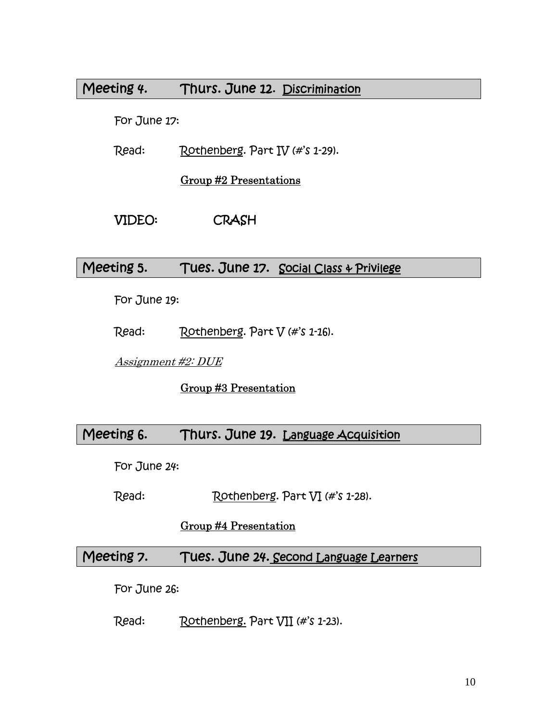## Meeting 4. Thurs. June 12. Discrimination

For June 17:

Read: Rothenberg. Part IV (#'s 1-29).

Group #2 Presentations

#### VIDEO: CRASH

#### Meeting 5. Tues. June 17. Social Class & Privilege

For June 19:

Read: Rothenberg. Part V (#'s 1-16).

Assignment #2: DUE

Group #3 Presentation

## Meeting 6. Thurs. June 19. Language Acquisition

For June 24:

Read: Rothenberg. Part VI (#'s 1-28).

#### Group #4 Presentation

#### Meeting 7. Tues. June 24. Second Language Learners

For June 26:

Read: Rothenberg. Part VII (#'s 1-23).